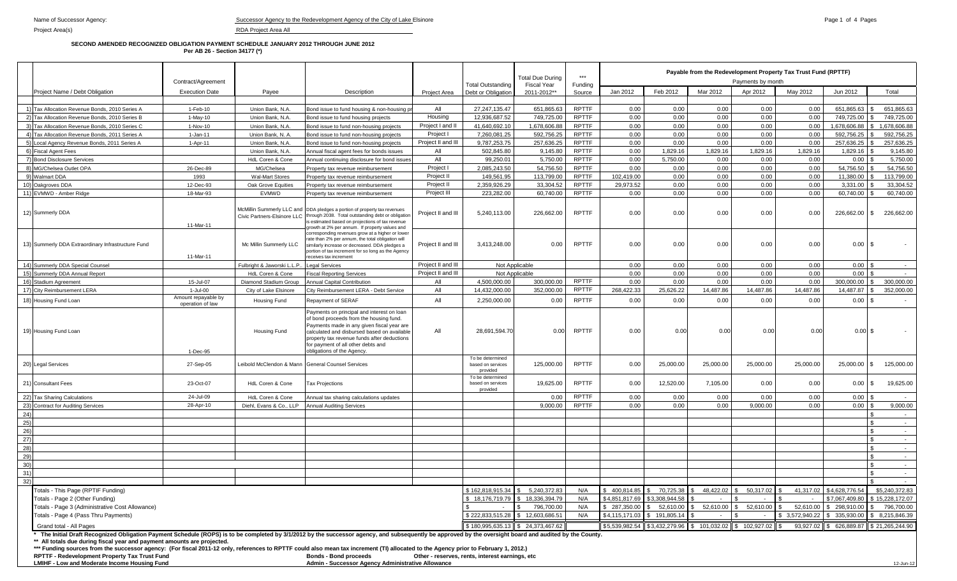#### **SECOND AMENDED RECOGNIZED OBLIGATION PAYMENT SCHEDULE JANUARY 2012 THROUGH JUNE 2012 Per AB 26 - Section 34177 (\*)**

|                                      |                                                                                                                                                                                                                                                                                                                                                                                                                                                                            | Contract/Agreement                                                                                                                                                                                                      |                          |                                                                                                                                                                                                                                                                                                                      |                    | <b>Total Outstanding</b>                          | <b>Total Due During</b><br><b>Fiscal Year</b> | $***$<br>Fundina |                | Payable from the Redevelopment Property Tax Trust Fund (RPTTF)<br>Payments by month |                  |           |              |                         |                                 |
|--------------------------------------|----------------------------------------------------------------------------------------------------------------------------------------------------------------------------------------------------------------------------------------------------------------------------------------------------------------------------------------------------------------------------------------------------------------------------------------------------------------------------|-------------------------------------------------------------------------------------------------------------------------------------------------------------------------------------------------------------------------|--------------------------|----------------------------------------------------------------------------------------------------------------------------------------------------------------------------------------------------------------------------------------------------------------------------------------------------------------------|--------------------|---------------------------------------------------|-----------------------------------------------|------------------|----------------|-------------------------------------------------------------------------------------|------------------|-----------|--------------|-------------------------|---------------------------------|
|                                      | Project Name / Debt Obligation                                                                                                                                                                                                                                                                                                                                                                                                                                             | <b>Execution Date</b>                                                                                                                                                                                                   | Payee                    | Description                                                                                                                                                                                                                                                                                                          | Project Area       | Debt or Obligation                                | 2011-2012**                                   | Source           | Jan 2012       | Feb 2012                                                                            | Mar 2012         | Apr 2012  | May 2012     | Jun 2012                | Total                           |
|                                      |                                                                                                                                                                                                                                                                                                                                                                                                                                                                            |                                                                                                                                                                                                                         |                          |                                                                                                                                                                                                                                                                                                                      |                    |                                                   |                                               |                  |                |                                                                                     |                  |           |              |                         |                                 |
|                                      | 1) Tax Allocation Revenue Bonds, 2010 Series A                                                                                                                                                                                                                                                                                                                                                                                                                             | 1-Feb-10                                                                                                                                                                                                                | Union Bank, N.A.         | Bond issue to fund housing & non-housing pr                                                                                                                                                                                                                                                                          | All                | 27.247.135.47                                     | 651.865.63                                    | <b>RPTTF</b>     | 0.00           | 0.00                                                                                | 0.00             | 0.00      | 0.00         | 651.865.63              | 651.865.63                      |
|                                      | 2) Tax Allocation Revenue Bonds, 2010 Series B                                                                                                                                                                                                                                                                                                                                                                                                                             | $1-May-10$                                                                                                                                                                                                              | Union Bank, N.A.         | Bond issue to fund housing projects                                                                                                                                                                                                                                                                                  | Housing            | 12,936,687.52                                     | 749,725.00                                    | <b>RPTTF</b>     | 0.00           | 0.00                                                                                | 0.00             | 0.00      | 0.00         | 749,725.00              | 749,725.00                      |
|                                      | 3) Tax Allocation Revenue Bonds, 2010 Series C                                                                                                                                                                                                                                                                                                                                                                                                                             | 1-Nov-10                                                                                                                                                                                                                | Union Bank, N.A.         | Bond issue to fund non-housing projects                                                                                                                                                                                                                                                                              | Project I and II   | 41,640,692.10                                     | 1,678,606.88                                  | <b>RPTTF</b>     | 0.00           | 0.00                                                                                | 0.00             | 0.00      | 0.00         | 1,678,606.88            | 1,678,606.88                    |
|                                      | 4) Tax Allocation Revenue Bonds, 2011 Series A                                                                                                                                                                                                                                                                                                                                                                                                                             | $1 - Jan-11$                                                                                                                                                                                                            | Union Bank, N. A.        | Bond issue to fund non-housing projects                                                                                                                                                                                                                                                                              | Project I          | 7,260,081.25                                      | 592,756.25                                    | <b>RPTTF</b>     | 0.00           | 0.00                                                                                | 0.00             | 0.00      | 0.00         | 592,756.25              | 592,756.25                      |
|                                      | 5) Local Agency Revenue Bonds, 2011 Series A                                                                                                                                                                                                                                                                                                                                                                                                                               | 1-Apr-11                                                                                                                                                                                                                | Union Bank, N.A.         | Bond issue to fund non-housing projects                                                                                                                                                                                                                                                                              | Project II and II  | 9,787,253.75                                      | 257,636.25                                    | <b>RPTTF</b>     | 0.00           | 0.00                                                                                | 0.00             | 0.00      | 0.00         | 257,636.25              | 257,636.25                      |
|                                      | 6) Fiscal Agent Fees                                                                                                                                                                                                                                                                                                                                                                                                                                                       |                                                                                                                                                                                                                         | Union Bank, N.A.         | Annual fiscal agent fees for bonds issues                                                                                                                                                                                                                                                                            | All                | 502,845.80                                        | 9,145.80                                      | <b>RPTTF</b>     | 0.00           | 1,829.16                                                                            | 1,829.16         | 1,829.16  | 1,829.16     | 1,829.16                | 9,145.80                        |
|                                      | 7) Bond Disclosure Services                                                                                                                                                                                                                                                                                                                                                                                                                                                |                                                                                                                                                                                                                         | HdL Coren & Cone         | Annual continuing disclosure for bond issue                                                                                                                                                                                                                                                                          | All                | 99,250.01                                         | 5,750.00                                      | <b>RPTTF</b>     | 0.00           | 5.750.00                                                                            | 0.00             | 0.00      | 0.00         | 0.00                    | 5,750.00                        |
|                                      | 8) MG/Chelsea Outlet OPA                                                                                                                                                                                                                                                                                                                                                                                                                                                   | 26-Dec-89                                                                                                                                                                                                               | MG/Chelsea               | roperty tax revenue reimbursement                                                                                                                                                                                                                                                                                    | Project I          | 2,085,243.50                                      | 54,756.50                                     | <b>RPTTF</b>     | 0.00           | 0.00                                                                                | 0.00             | 0.00      | 0.00         | 54,756.50               | 54,756.50                       |
|                                      | 9) Walmart DDA                                                                                                                                                                                                                                                                                                                                                                                                                                                             | 1993                                                                                                                                                                                                                    | <b>Wal-Mart Stores</b>   | Property tax revenue reimbursement                                                                                                                                                                                                                                                                                   | Project II         | 149,561.95                                        | 113,799.00                                    | <b>RPTTF</b>     | 102,419.00     | 0.00                                                                                | 0.00             | 0.00      | 0.00         | 11,380.00               | 113,799.00                      |
|                                      | 10) Oakgroves DDA                                                                                                                                                                                                                                                                                                                                                                                                                                                          | 12-Dec-93                                                                                                                                                                                                               | Oak Grove Equities       | Property tax revenue reimbursement                                                                                                                                                                                                                                                                                   | Project II         | 2.359.926.29                                      | 33.304.52                                     | <b>RPTTF</b>     | 29.973.52      | 0.00                                                                                | 0.00             | 0.00      | 0.00         | 3.331.00                | 33.304.52                       |
|                                      | 11) EVMWD - Amber Ridge                                                                                                                                                                                                                                                                                                                                                                                                                                                    | 18-Mar-93                                                                                                                                                                                                               | <b>EVMWD</b>             | Property tax revenue reimbursement                                                                                                                                                                                                                                                                                   | Project III        | 223,282.00                                        | 60,740.00                                     | <b>RPTTF</b>     | 0.00           | 0.00                                                                                | 0.00             | 0.00      | 0.00         | 60,740.00               | 60,740.00                       |
|                                      | 12) Summerly DDA                                                                                                                                                                                                                                                                                                                                                                                                                                                           | 11-Mar-11                                                                                                                                                                                                               |                          | McMillin Summerly LLC and DDA pledges a portion of property tax revenues<br>Civic Partners-Elsinore LLC through 2038. Total outstanding debt or obligation<br>is estimated based on projections of tax revenue<br>growth at 2% per annum. If property values and<br>corresponding revenues grow at a higher or lower | Project II and III | 5.240.113.00                                      | 226,662.00                                    | <b>RPTTF</b>     | 0.00           | 0.00                                                                                | 0.00             | 0.00      | 0.00         | 226,662.00              | 226.662.00<br><b>S</b>          |
|                                      | 13) Summerly DDA Extraordinary Infrastructure Fund                                                                                                                                                                                                                                                                                                                                                                                                                         | ate than 2% per annum, the total obligation will<br>Mc Millin Summerly LLC<br>imilarly increase or decreased. DDA pledges a<br>portion of tax increment for so long as the Agency<br>11-Mar-11<br>eceives tax increment |                          | Project II and III                                                                                                                                                                                                                                                                                                   | 3,413,248.00       | 0.00                                              | <b>RPTTF</b>                                  | 0.00             | 0.00           | 0.00                                                                                | 0.00             | 0.00      | $0.00$ \$    |                         |                                 |
|                                      | 14) Summerly DDA Special Counsel                                                                                                                                                                                                                                                                                                                                                                                                                                           | Fulbright & Jaworski L.L.P.<br>egal Services                                                                                                                                                                            |                          | Project II and III                                                                                                                                                                                                                                                                                                   |                    | Not Applicable                                    |                                               | 0.00             | 0.00           | 0.00                                                                                | 0.00             | 0.00      | 0.00         |                         |                                 |
|                                      | 15) Summerly DDA Annual Report                                                                                                                                                                                                                                                                                                                                                                                                                                             |                                                                                                                                                                                                                         | HdL Coren & Cone         | iscal Reporting Services                                                                                                                                                                                                                                                                                             | Project II and III |                                                   | Not Applicable                                |                  | 0.00           | 0.00                                                                                | 0.00             | 0.00      | 0.00         | 0.00                    |                                 |
|                                      | 16) Stadium Agreement                                                                                                                                                                                                                                                                                                                                                                                                                                                      | 15-Jul-07                                                                                                                                                                                                               | Diamond Stadium Group    | Annual Capital Contribution                                                                                                                                                                                                                                                                                          | All                | 4.500.000.00                                      | 300.000.00                                    | <b>RPTTF</b>     | 0.00           | 0.00                                                                                | 0.00             | 0.00      | 0.00         | 300.000.00              | 300.000.00                      |
|                                      | 17) City Reimbursement LERA                                                                                                                                                                                                                                                                                                                                                                                                                                                | $1 -$ Jul-00                                                                                                                                                                                                            | City of Lake Elsinore    | City Reimbursement LERA - Debt Service                                                                                                                                                                                                                                                                               | All                | 14.432.000.00                                     | 352,000.00                                    | <b>RPTTF</b>     | 268.422.33     | 25.626.22                                                                           | 14.487.86        | 14.487.86 | 14.487.86    | 14.487.87               | 352,000.00                      |
|                                      | 18) Housing Fund Loan                                                                                                                                                                                                                                                                                                                                                                                                                                                      | Amount repayable by<br>operation of law                                                                                                                                                                                 | Housing Fund             | Repayment of SERAF                                                                                                                                                                                                                                                                                                   | All                | 2,250,000.00                                      | 0.00                                          | <b>RPTTF</b>     | 0.00           | 0.00                                                                                | 0.00             | 0.00      | 0.00         | 0.00                    | I S<br>$\overline{\phantom{a}}$ |
|                                      | 19) Housing Fund Loan                                                                                                                                                                                                                                                                                                                                                                                                                                                      | 1-Dec-95                                                                                                                                                                                                                | Housing Fund             | Payments on principal and interest on loan<br>of bond proceeds from the housing fund.<br>Payments made in any given fiscal year are<br>calculated and disbursed based on available<br>property tax revenue funds after deductions<br>for payment of all other debts and<br>obligations of the Agency.                | All                | 28,691,594.70                                     | 0.00                                          | <b>RPTTF</b>     | 0.00           | 0.00                                                                                | 0.00             | 0.00      | 0.00         | $0.00$ \$               | $\sim$                          |
|                                      | 20) Legal Services                                                                                                                                                                                                                                                                                                                                                                                                                                                         | 27-Sep-05                                                                                                                                                                                                               | Leibold McClendon & Mann | <b>General Counsel Services</b>                                                                                                                                                                                                                                                                                      |                    | To be determined<br>based on services<br>provided | 125,000.00                                    | <b>RPTTF</b>     | 0.00           | 25,000.00                                                                           | 25,000.00        | 25,000.00 | 25,000.00    | 25,000.00 \$            | 125,000.00                      |
|                                      | 21) Consultant Fees                                                                                                                                                                                                                                                                                                                                                                                                                                                        | 23-Oct-07                                                                                                                                                                                                               | HdL Coren & Cone         | <b>Tax Projections</b>                                                                                                                                                                                                                                                                                               |                    | To be determined<br>based on services<br>provided | 19,625.00                                     | <b>RPTTF</b>     | 0.00           | 12,520.00                                                                           | 7,105.00         | 0.00      | 0.00         | 0.00                    | <b>S</b><br>19,625.00           |
|                                      | 22) Tax Sharing Calculations                                                                                                                                                                                                                                                                                                                                                                                                                                               | 24-Jul-09                                                                                                                                                                                                               | HdL Coren & Cone         | Annual tax sharing calculations updates                                                                                                                                                                                                                                                                              |                    |                                                   | 0.00                                          | <b>RPTTF</b>     | 0.00           | 0.00                                                                                | 0.00             | 0.00      | 0.00         | 0.00                    | $\sim$                          |
|                                      | 23) Contract for Auditing Services                                                                                                                                                                                                                                                                                                                                                                                                                                         | 28-Apr-10                                                                                                                                                                                                               | Diehl, Evans & Co., LLP  | <b>Annual Auditing Services</b>                                                                                                                                                                                                                                                                                      |                    |                                                   | 9,000.00                                      | <b>RPTTF</b>     | 0.00           | 0.00                                                                                | 0.00             | 9,000.00  | 0.00         | 0.00                    | 9,000.00                        |
| 24)                                  |                                                                                                                                                                                                                                                                                                                                                                                                                                                                            |                                                                                                                                                                                                                         |                          |                                                                                                                                                                                                                                                                                                                      |                    |                                                   |                                               |                  |                |                                                                                     |                  |           |              |                         | $\sim$                          |
| 25)                                  |                                                                                                                                                                                                                                                                                                                                                                                                                                                                            |                                                                                                                                                                                                                         |                          |                                                                                                                                                                                                                                                                                                                      |                    |                                                   |                                               |                  |                |                                                                                     |                  |           |              |                         | \$.<br>$\overline{\phantom{a}}$ |
| 26)                                  |                                                                                                                                                                                                                                                                                                                                                                                                                                                                            |                                                                                                                                                                                                                         |                          |                                                                                                                                                                                                                                                                                                                      |                    |                                                   |                                               |                  |                |                                                                                     |                  |           |              |                         | $\mathfrak{L}$<br>$\sim$        |
| 27)                                  |                                                                                                                                                                                                                                                                                                                                                                                                                                                                            |                                                                                                                                                                                                                         |                          |                                                                                                                                                                                                                                                                                                                      |                    |                                                   |                                               |                  |                |                                                                                     |                  |           |              |                         | $\sim$                          |
| 28)                                  |                                                                                                                                                                                                                                                                                                                                                                                                                                                                            |                                                                                                                                                                                                                         |                          |                                                                                                                                                                                                                                                                                                                      |                    |                                                   |                                               |                  |                |                                                                                     |                  |           |              |                         | $\mathbf{s}$<br>$\sim$ $-$      |
| 29)                                  |                                                                                                                                                                                                                                                                                                                                                                                                                                                                            |                                                                                                                                                                                                                         |                          |                                                                                                                                                                                                                                                                                                                      |                    |                                                   |                                               |                  |                |                                                                                     |                  |           |              |                         | $\hat{\mathcal{L}}$<br>$\sim$   |
| 30)                                  |                                                                                                                                                                                                                                                                                                                                                                                                                                                                            |                                                                                                                                                                                                                         |                          |                                                                                                                                                                                                                                                                                                                      |                    |                                                   |                                               |                  |                |                                                                                     |                  |           |              |                         | $\mathcal{F}$<br>$\sim$         |
| 31)                                  |                                                                                                                                                                                                                                                                                                                                                                                                                                                                            |                                                                                                                                                                                                                         |                          |                                                                                                                                                                                                                                                                                                                      |                    |                                                   |                                               |                  |                |                                                                                     |                  |           |              |                         | $\sim$                          |
| 32)                                  |                                                                                                                                                                                                                                                                                                                                                                                                                                                                            |                                                                                                                                                                                                                         |                          |                                                                                                                                                                                                                                                                                                                      |                    |                                                   |                                               |                  |                |                                                                                     |                  |           |              |                         | $\sim$                          |
|                                      | Totals - This Page (RPTIF Funding)                                                                                                                                                                                                                                                                                                                                                                                                                                         |                                                                                                                                                                                                                         |                          |                                                                                                                                                                                                                                                                                                                      |                    | \$162.818.915.34                                  | 5.240.372.83                                  | N/A              | \$400.814.85   | 70.725.38                                                                           | 48.422.02        | 50.317.02 | 41.317.02    | \$4.628.776.54          | \$5,240,372.83                  |
|                                      | Totals - Page 2 (Other Funding)                                                                                                                                                                                                                                                                                                                                                                                                                                            |                                                                                                                                                                                                                         |                          |                                                                                                                                                                                                                                                                                                                      |                    | 18.176.719.79                                     | 18.336.394.79                                 | N/A              | \$4.851.817.69 | \$3.308.944.58                                                                      |                  |           |              | \$7.067.409.80          | \$15.228.172.07                 |
|                                      | Totals - Page 3 (Administrative Cost Allowance)                                                                                                                                                                                                                                                                                                                                                                                                                            |                                                                                                                                                                                                                         |                          |                                                                                                                                                                                                                                                                                                                      |                    |                                                   | 796,700.00                                    | N/A              | \$ 287,350,00  | 52,610.00                                                                           | 52.610.00<br>l s | 52.610.00 | 52,610.00    | 298.910.00              | 796,700.00                      |
| Totals - Page 4 (Pass Thru Payments) |                                                                                                                                                                                                                                                                                                                                                                                                                                                                            |                                                                                                                                                                                                                         |                          |                                                                                                                                                                                                                                                                                                                      |                    | \$222,833,515.28                                  | \$12,603,686.51                               | N/A              | \$4,115,171.03 | 191,805.14                                                                          |                  |           | 3,572,940.22 | 335,930.00              | 8.215.846.39                    |
|                                      | Grand total - All Pages                                                                                                                                                                                                                                                                                                                                                                                                                                                    |                                                                                                                                                                                                                         |                          |                                                                                                                                                                                                                                                                                                                      |                    |                                                   | $$180,995,635.13$ $$24,373,467.62$            |                  |                | $$5,539,982.54$ $$3,432,279.96$ $$5,101,032.02$ $$5,102,927.02$                     |                  |           |              | 93,927.02 \$ 626,889.87 | \$21,265,244.90                 |
|                                      | * The Initial Draft Recognized Obligation Payment Schedule (ROPS) is to be completed by 3/1/2012 by the successor agency, and subsequently be approved by the oversight board and audited by the County.<br>** All totals due during fiscal year and payment amounts are projected.<br>*** Funding sources from the successor agency: (For fiscal 2011-12 only, references to RPTTF could also mean tax increment (TI) allocated to the Agency prior to February 1, 2012.) |                                                                                                                                                                                                                         |                          |                                                                                                                                                                                                                                                                                                                      |                    |                                                   |                                               |                  |                |                                                                                     |                  |           |              |                         |                                 |

**RPTTF - Redevelopment Property Tax Trust Fund Bonds - Bond proceeds Other - reserves, rents, interest earnings, etc LMIHF - Low and Moderate Income Housing Fund Admin - Successor Agency Administrative Allowance** 12-Jun-12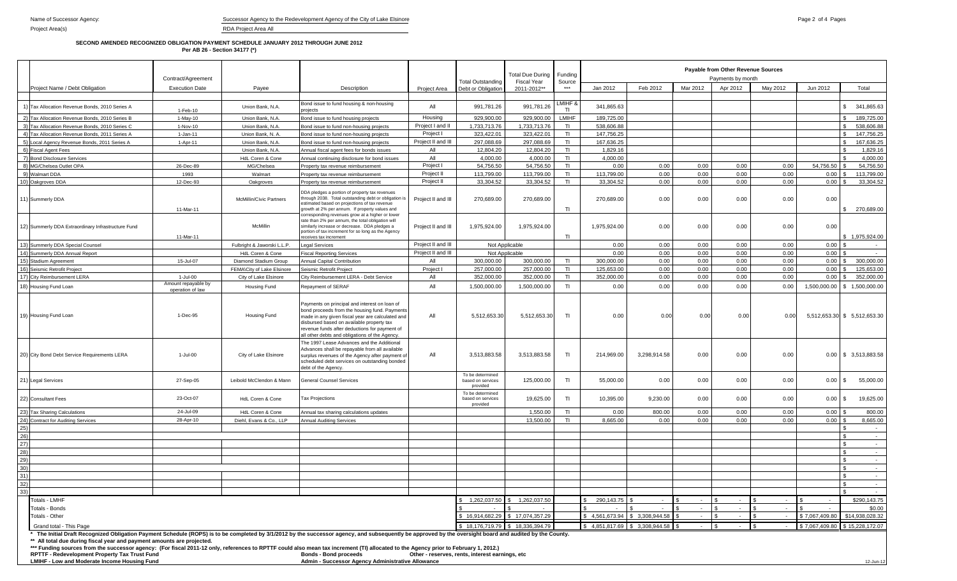# **SECOND AMENDED RECOGNIZED OBLIGATION PAYMENT SCHEDULE JANUARY 2012 THROUGH JUNE 2012 Per AB 26 - Section 34177 (\*)**

|                                                                                                                                                                                                                                                                                                                                                                                                                                                                                                                                                                            | Contract/Agreement                                                                   |                                                                                                                                                                                                                         |                                                                                                                                                                                                                                                                                                    |                                                |                                                   | <b>Total Due During</b>         | Funding              | Payable from Other Revenue Sources<br>Payments by month |                               |              |              |              |                 |                                |
|----------------------------------------------------------------------------------------------------------------------------------------------------------------------------------------------------------------------------------------------------------------------------------------------------------------------------------------------------------------------------------------------------------------------------------------------------------------------------------------------------------------------------------------------------------------------------|--------------------------------------------------------------------------------------|-------------------------------------------------------------------------------------------------------------------------------------------------------------------------------------------------------------------------|----------------------------------------------------------------------------------------------------------------------------------------------------------------------------------------------------------------------------------------------------------------------------------------------------|------------------------------------------------|---------------------------------------------------|---------------------------------|----------------------|---------------------------------------------------------|-------------------------------|--------------|--------------|--------------|-----------------|--------------------------------|
| Project Name / Debt Obligation                                                                                                                                                                                                                                                                                                                                                                                                                                                                                                                                             | <b>Execution Date</b><br>Payee<br>Description                                        |                                                                                                                                                                                                                         | Project Area                                                                                                                                                                                                                                                                                       | <b>Total Outstanding</b><br>Debt or Obligation | <b>Fiscal Year</b><br>2011-2012**                 | Source<br>***                   | Jan 2012             | Feb 2012                                                | Mar 2012                      | Apr 2012     | May 2012     | Jun 2012     | Total           |                                |
| 1) Tax Allocation Revenue Bonds, 2010 Series A                                                                                                                                                                                                                                                                                                                                                                                                                                                                                                                             | Bond issue to fund housing & non-housing<br>Union Bank, N.A.<br>projects<br>1-Feb-10 |                                                                                                                                                                                                                         | All                                                                                                                                                                                                                                                                                                | 991,781.26                                     | 991,781.26                                        | MIHF &<br>TI.                   | 341,865.63           |                                                         |                               |              |              |              | 341,865.63      |                                |
| 2) Tax Allocation Revenue Bonds, 2010 Series B                                                                                                                                                                                                                                                                                                                                                                                                                                                                                                                             | 1-May-10                                                                             | Union Bank, N.A.                                                                                                                                                                                                        | Bond issue to fund housing projects                                                                                                                                                                                                                                                                | Housing                                        | 929.900.00                                        | 929.900.00                      | <b>LMIHF</b>         | 189.725.00                                              |                               |              |              |              |                 | 189,725.00                     |
| 3) Tax Allocation Revenue Bonds, 2010 Series C                                                                                                                                                                                                                                                                                                                                                                                                                                                                                                                             | 1-Nov-10                                                                             | Union Bank, N.A.                                                                                                                                                                                                        | Bond issue to fund non-housing projects                                                                                                                                                                                                                                                            | Project I and II                               | 1,733,713.76                                      | 1,733,713.76                    | T <sub>1</sub>       | 538,606.88                                              |                               |              |              |              |                 | 538,606.88                     |
| 4) Tax Allocation Revenue Bonds, 2011 Series A                                                                                                                                                                                                                                                                                                                                                                                                                                                                                                                             | $1-Jan-11$                                                                           | Union Bank, N. A.                                                                                                                                                                                                       | Bond issue to fund non-housing projects                                                                                                                                                                                                                                                            | Project I                                      | 323,422.01                                        | 323,422.01                      | T <sub>1</sub>       | 147,756.25                                              |                               |              |              |              |                 | 147,756.25                     |
| 5) Local Agency Revenue Bonds, 2011 Series A                                                                                                                                                                                                                                                                                                                                                                                                                                                                                                                               | 1-Apr-11                                                                             | Union Bank, N.A.                                                                                                                                                                                                        | Bond issue to fund non-housing projects                                                                                                                                                                                                                                                            | Project II and III                             | 297,088.69                                        | 297,088.69                      | T1                   | 167,636.25                                              |                               |              |              |              |                 | 167,636.25                     |
| 6) Fiscal Agent Fees                                                                                                                                                                                                                                                                                                                                                                                                                                                                                                                                                       |                                                                                      | Union Bank, N.A.                                                                                                                                                                                                        | Annual fiscal agent fees for bonds issues                                                                                                                                                                                                                                                          | All                                            | 12,804.20                                         | 12,804.20                       | T <sub>1</sub>       | 1,829.16                                                |                               |              |              |              |                 | 1,829.16                       |
| 7) Bond Disclosure Services                                                                                                                                                                                                                                                                                                                                                                                                                                                                                                                                                |                                                                                      | HdL Coren & Cone                                                                                                                                                                                                        | Annual continuing disclosure for bond issues                                                                                                                                                                                                                                                       | All                                            | 4.000.00                                          | 4.000.00                        | TI                   | 4.000.00                                                |                               |              |              |              |                 | 4.000.00                       |
| 8) MG/Chelsea Outlet OPA                                                                                                                                                                                                                                                                                                                                                                                                                                                                                                                                                   | 26-Dec-89                                                                            | MG/Chelsea                                                                                                                                                                                                              | Property tax revenue reimbursement                                                                                                                                                                                                                                                                 | Project I<br>Project II                        | 54,756.50                                         | 54,756.50                       | TI                   | 0.00                                                    | 0.00                          | 0.00         | 0.00         | 0.00         | 54,756.50       | 54,756.50                      |
| 9) Walmart DDA<br>10) Oakgroves DDA                                                                                                                                                                                                                                                                                                                                                                                                                                                                                                                                        | 1993<br>12-Dec-93                                                                    | Walmart                                                                                                                                                                                                                 | Property tax revenue reimbursement<br>Property tax revenue reimbursement                                                                                                                                                                                                                           | Project II                                     | 113,799.00<br>33,304.52                           | 113,799.00<br>33,304.52         | T <sub>1</sub><br>TI | 113,799.00<br>33,304.52                                 | 0.00<br>0.00                  | 0.00<br>0.00 | 0.00<br>0.00 | 0.00<br>0.00 | 0.00<br>0.00    | 113,799.00<br>33,304.52        |
|                                                                                                                                                                                                                                                                                                                                                                                                                                                                                                                                                                            |                                                                                      | Oakgroves                                                                                                                                                                                                               |                                                                                                                                                                                                                                                                                                    |                                                |                                                   |                                 |                      |                                                         |                               |              |              |              |                 |                                |
| 11) Summerly DDA                                                                                                                                                                                                                                                                                                                                                                                                                                                                                                                                                           | 11-Mar-11                                                                            | McMillin/Civic Partners                                                                                                                                                                                                 | DDA pledges a portion of property tax revenues<br>through 2038. Total outstanding debt or obligation is<br>estimated based on projections of tax revenue<br>growth at 2% per annum. If property values and<br>corresponding revenues grow at a higher or lower                                     | Project II and III                             | 270,689.00                                        | 270,689.00                      | TI                   | 270,689.00                                              | 0.00                          | 0.00         | 0.00         | 0.00         | 0.00            | 270,689.00                     |
| 12) Summerly DDA Extraordinary Infrastructure Fund                                                                                                                                                                                                                                                                                                                                                                                                                                                                                                                         | 11-Mar-11                                                                            | McMillin                                                                                                                                                                                                                | rate than 2% per annum, the total obligation will<br>similarly increase or decrease. DDA pledges a<br>portion of tax increment for so long as the Agency<br>eceives tax increment                                                                                                                  | Project II and III                             | 1,975,924.00                                      | 1,975,924.00                    | TI.                  | 1,975,924.00                                            | 0.00                          | 0.00         | 0.00         | 0.00         | 0.00            | 1,975,924.00                   |
| 13) Summerly DDA Special Counsel                                                                                                                                                                                                                                                                                                                                                                                                                                                                                                                                           |                                                                                      | Fulbright & Jaworski L.L.P.                                                                                                                                                                                             | egal Services                                                                                                                                                                                                                                                                                      | Project II and III                             |                                                   | Not Applicable                  |                      | 0.00                                                    | 0.00                          | 0.00         | 0.00         | 0.00         | 0.00            | $\overline{\phantom{a}}$       |
| 14) Summerly DDA Annual Report                                                                                                                                                                                                                                                                                                                                                                                                                                                                                                                                             |                                                                                      | HdL Coren & Cone                                                                                                                                                                                                        | Fiscal Reporting Services                                                                                                                                                                                                                                                                          | Project II and III                             |                                                   | Not Applicable                  |                      | 0.00                                                    | 0.00                          | 0.00         | 0.00         | 0.00         | 0.00            |                                |
| 15) Stadium Agreement                                                                                                                                                                                                                                                                                                                                                                                                                                                                                                                                                      | 15-Jul-07                                                                            | Diamond Stadium Group                                                                                                                                                                                                   | <b>Annual Capital Contribution</b>                                                                                                                                                                                                                                                                 | All                                            | 300,000.00                                        | 300,000.00                      | T <sub>1</sub>       | 300,000.00                                              | 0.00                          | 0.00         | 0.00         | 0.00         | 0.00            | 300,000.00                     |
| 16) Seismic Retrofit Project                                                                                                                                                                                                                                                                                                                                                                                                                                                                                                                                               |                                                                                      | FEMA\City of Lake Elsinore                                                                                                                                                                                              | Seismic Retrofit Project                                                                                                                                                                                                                                                                           | Project I                                      | 257.000.00                                        | 257.000.00                      | TL                   | 125.653.00                                              | 0.00                          | 0.00         | 0.00         | 0.00         | 0.00            | 125,653.00                     |
| 17) City Reimbursement LERA                                                                                                                                                                                                                                                                                                                                                                                                                                                                                                                                                | 1-Jul-00<br>Amount repayable by                                                      | City of Lake Elsinore                                                                                                                                                                                                   | City Reimbursement LERA - Debt Service                                                                                                                                                                                                                                                             | All                                            | 352,000.00                                        | 352,000.00                      | TI                   | 352,000.00                                              | 0.00                          | 0.00         | 0.00         | 0.00         | 0.00            | 352,000.00                     |
| 18) Housing Fund Loan                                                                                                                                                                                                                                                                                                                                                                                                                                                                                                                                                      | operation of law                                                                     | <b>Housing Fund</b>                                                                                                                                                                                                     | Repayment of SERAF                                                                                                                                                                                                                                                                                 | All                                            | 1,500,000.00                                      | 1,500,000.00                    | TI                   | 0.00                                                    | 0.00                          | 0.00         | 0.00         | 0.00         | 1,500,000.00    | 1,500,000.00<br>SS.            |
| 19) Housing Fund Loan                                                                                                                                                                                                                                                                                                                                                                                                                                                                                                                                                      | 1-Dec-95                                                                             | Housing Fund                                                                                                                                                                                                            | Payments on principal and interest on loan of<br>bond proceeds from the housing fund. Payments<br>made in any given fiscal year are calculated and<br>disbursed based on available property tax<br>revenue funds after deductions for payment of<br>all other debts and obligations of the Agency. | All                                            | 5,512,653.30                                      | 5,512,653.30                    | TI.                  | 0.00                                                    | 0.00                          | 0.00         | 0.00         | 0.00         |                 | 5,512,653.30 \$ 5,512,653.30   |
| 20) City Bond Debt Service Requirements LERA<br>1-Jul-00<br>City of Lake Elsinore                                                                                                                                                                                                                                                                                                                                                                                                                                                                                          |                                                                                      | The 1997 Lease Advances and the Additional<br>Advances shall be repayable from all available<br>surplus revenues of the Agency after payment of<br>scheduled debt services on outstanding bonded<br>debt of the Agency. | All                                                                                                                                                                                                                                                                                                | 3,513,883.58                                   | 3,513,883.58                                      | T <sub>1</sub>                  | 214,969.00           | 3,298,914.58                                            | 0.00                          | 0.00         | 0.00         | 0.00         | \$ 3,513,883.58 |                                |
| 21) Legal Services                                                                                                                                                                                                                                                                                                                                                                                                                                                                                                                                                         | 27-Sep-05<br>Leibold McClendon & Mann                                                |                                                                                                                                                                                                                         | <b>General Counsel Services</b>                                                                                                                                                                                                                                                                    |                                                | To be determined<br>based on services<br>provided | 125,000.00                      | TI                   | 55,000.00                                               | 0.00                          | 0.00         | 0.00         | 0.00         | 0.00            | 55,000.00<br>-SG               |
| 22) Consultant Fees                                                                                                                                                                                                                                                                                                                                                                                                                                                                                                                                                        | 23-Oct-07                                                                            | HdL Coren & Cone                                                                                                                                                                                                        | <b>Tax Projections</b>                                                                                                                                                                                                                                                                             |                                                | To be determined<br>based on services<br>provided | 19,625.00                       | TI                   | 10,395.00                                               | 9,230.00                      | 0.00         | 0.00         | 0.00         | 0.00            | 19,625.00                      |
| 23) Tax Sharing Calculations                                                                                                                                                                                                                                                                                                                                                                                                                                                                                                                                               | 24-Jul-09                                                                            | HdL Coren & Cone                                                                                                                                                                                                        | Annual tax sharing calculations updates                                                                                                                                                                                                                                                            |                                                |                                                   | 1,550.00                        | T <sub>1</sub>       | 0.00                                                    | 800.00                        | 0.00         | 0.00         | 0.00         | 0.00            | 800.00                         |
| 24) Contract for Auditing Services                                                                                                                                                                                                                                                                                                                                                                                                                                                                                                                                         | 28-Apr-10                                                                            | Diehl, Evans & Co., LLP                                                                                                                                                                                                 | <b>Annual Auditing Services</b>                                                                                                                                                                                                                                                                    |                                                |                                                   | 13,500.00                       | TI                   | 8,665.00                                                | 0.00                          | 0.00         | 0.00         | 0.00         | 0.00            | 8,665.00                       |
| 25)                                                                                                                                                                                                                                                                                                                                                                                                                                                                                                                                                                        |                                                                                      |                                                                                                                                                                                                                         |                                                                                                                                                                                                                                                                                                    |                                                |                                                   |                                 |                      |                                                         |                               |              |              |              |                 | $\sim$                         |
| 26)                                                                                                                                                                                                                                                                                                                                                                                                                                                                                                                                                                        |                                                                                      |                                                                                                                                                                                                                         |                                                                                                                                                                                                                                                                                                    |                                                |                                                   |                                 |                      |                                                         |                               |              |              |              |                 | $\sim$                         |
| 27)<br>28)                                                                                                                                                                                                                                                                                                                                                                                                                                                                                                                                                                 |                                                                                      |                                                                                                                                                                                                                         |                                                                                                                                                                                                                                                                                                    |                                                |                                                   |                                 |                      |                                                         |                               |              |              |              |                 | $\sim$                         |
| 29)                                                                                                                                                                                                                                                                                                                                                                                                                                                                                                                                                                        |                                                                                      |                                                                                                                                                                                                                         |                                                                                                                                                                                                                                                                                                    |                                                |                                                   |                                 |                      |                                                         |                               |              |              |              |                 | $\sim$                         |
| 30)                                                                                                                                                                                                                                                                                                                                                                                                                                                                                                                                                                        |                                                                                      |                                                                                                                                                                                                                         |                                                                                                                                                                                                                                                                                                    |                                                |                                                   |                                 |                      |                                                         |                               |              |              |              |                 | $\sim$                         |
| 31)                                                                                                                                                                                                                                                                                                                                                                                                                                                                                                                                                                        |                                                                                      |                                                                                                                                                                                                                         |                                                                                                                                                                                                                                                                                                    |                                                |                                                   |                                 |                      |                                                         |                               |              |              |              |                 | $\sim$                         |
| 32)                                                                                                                                                                                                                                                                                                                                                                                                                                                                                                                                                                        |                                                                                      |                                                                                                                                                                                                                         |                                                                                                                                                                                                                                                                                                    |                                                |                                                   |                                 |                      |                                                         |                               |              |              |              |                 |                                |
| 33)                                                                                                                                                                                                                                                                                                                                                                                                                                                                                                                                                                        |                                                                                      |                                                                                                                                                                                                                         |                                                                                                                                                                                                                                                                                                    |                                                |                                                   |                                 |                      |                                                         |                               |              |              |              |                 |                                |
| Totals - LMHF                                                                                                                                                                                                                                                                                                                                                                                                                                                                                                                                                              |                                                                                      |                                                                                                                                                                                                                         |                                                                                                                                                                                                                                                                                                    |                                                | 1,262,037.50                                      | 1,262,037.50                    |                      | 290,143.75                                              | $\sim$                        |              |              |              |                 | \$290,143.75                   |
| Totals - Bonds<br>Totals - Other<br>Grand total - This Page                                                                                                                                                                                                                                                                                                                                                                                                                                                                                                                |                                                                                      |                                                                                                                                                                                                                         |                                                                                                                                                                                                                                                                                                    |                                                |                                                   |                                 |                      | $\sim$                                                  | $\sim$                        |              | $\sim$       | $\sim$       | $\sim$ $-$      | \$0.00                         |
|                                                                                                                                                                                                                                                                                                                                                                                                                                                                                                                                                                            |                                                                                      |                                                                                                                                                                                                                         |                                                                                                                                                                                                                                                                                                    |                                                |                                                   | \$16,914,682.29 \$17,074,357.29 |                      | \$4.561.673.94                                          | \$3.308.944.58                |              | $\sim$       |              | \$7,067,409.80  | \$14,938,028.32                |
|                                                                                                                                                                                                                                                                                                                                                                                                                                                                                                                                                                            |                                                                                      |                                                                                                                                                                                                                         |                                                                                                                                                                                                                                                                                                    |                                                |                                                   | \$18,176,719.79 \$18,336,394.79 |                      |                                                         | \$4,851,817.69 \$3,308,944.58 |              | $\sim$       |              |                 | \$7,067,409.80 \$15,228,172.07 |
| * The Initial Draft Recognized Obligation Payment Schedule (ROPS) is to be completed by 3/1/2012 by the successor agency, and subsequently be approved by the oversight board and audited by the County.<br>** All total due during fiscal year and payment amounts are projected.<br>*** Funding sources from the successor agency: (For fiscal 2011-12 only, references to RPTTF could also mean tax increment (TI) allocated to the Agency prior to February 1, 2012.)<br>RPTTF - Redevelopment Property Tax Trust Fund<br>LMIHF - Low and Moderate Income Housing Fund |                                                                                      |                                                                                                                                                                                                                         | <b>Bonds - Bond proceeds</b><br>Admin - Successor Agency Administrative Allowance                                                                                                                                                                                                                  |                                                | Other - reserves, rents, interest earnings, etc   |                                 |                      |                                                         |                               |              |              |              |                 | 12-Jun-12                      |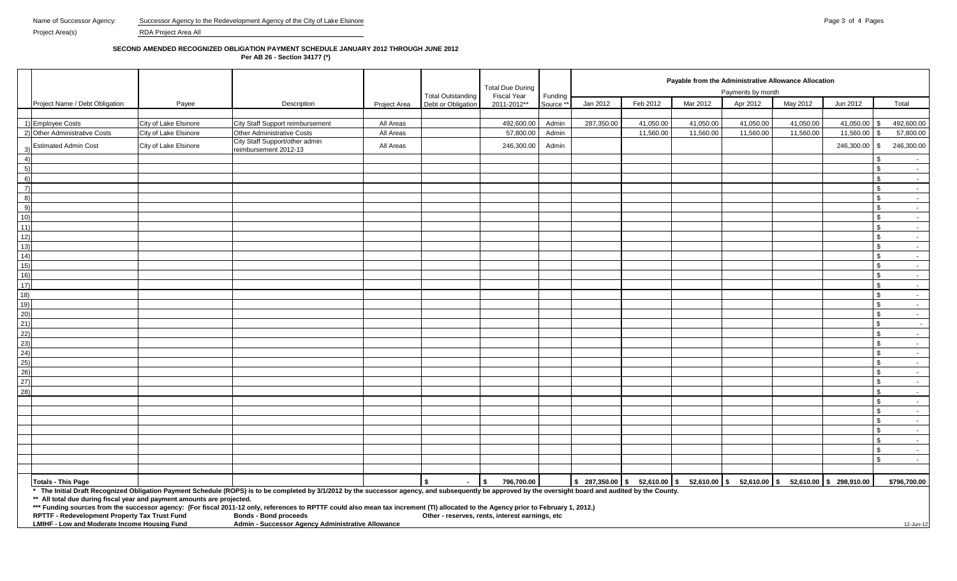#### **SECOND AMENDED RECOGNIZED OBLIGATION PAYMENT SCHEDULE JANUARY 2012 THROUGH JUNE 2012**

**Per AB 26 - Section 34177 (\*)**

|                                                                        |                       |                                                                                                                                                                                                          |                     |                          | <b>Total Due During</b>                         |           |            |           |           | Payable from the Administrative Allowance Allocation                                |           |            |                                      |  |  |
|------------------------------------------------------------------------|-----------------------|----------------------------------------------------------------------------------------------------------------------------------------------------------------------------------------------------------|---------------------|--------------------------|-------------------------------------------------|-----------|------------|-----------|-----------|-------------------------------------------------------------------------------------|-----------|------------|--------------------------------------|--|--|
|                                                                        |                       |                                                                                                                                                                                                          |                     | <b>Total Outstanding</b> | <b>Fiscal Year</b>                              | Funding   |            |           |           | Payments by month                                                                   |           |            |                                      |  |  |
| Project Name / Debt Obligation                                         | Payee                 | Description                                                                                                                                                                                              | <b>Project Area</b> | Debt or Obligation       | 2011-2012**                                     | Source ** | Jan 2012   | Feb 2012  | Mar 2012  | Apr 2012                                                                            | May 2012  | Jun 2012   | Total                                |  |  |
|                                                                        |                       |                                                                                                                                                                                                          |                     |                          |                                                 |           |            |           |           |                                                                                     |           |            |                                      |  |  |
| 1) Employee Costs                                                      | City of Lake Elsinore | City Staff Support reimbursement                                                                                                                                                                         | All Areas           |                          | 492,600.00                                      | Admin     | 287,350.00 | 41,050.00 | 41,050.00 | 41,050.00                                                                           | 41,050.00 | 41,050.00  | 492,600.00                           |  |  |
| 2) Other Administrative Costs                                          | City of Lake Elsinore | <b>Other Administrative Costs</b>                                                                                                                                                                        | All Areas           |                          | 57,800.00                                       | Admin     |            | 11,560.00 | 11,560.00 | 11,560.00                                                                           | 11,560.00 | 11,560.00  | 57,800.00<br>-9                      |  |  |
| <b>Estimated Admin Cost</b>                                            | City of Lake Elsinore | City Staff Support/other admin<br>reimbursement 2012-13                                                                                                                                                  | All Areas           |                          | 246,300.00                                      | Admin     |            |           |           |                                                                                     |           | 246,300.00 | 246,300.00<br>\$                     |  |  |
| 4)                                                                     |                       |                                                                                                                                                                                                          |                     |                          |                                                 |           |            |           |           |                                                                                     |           |            | ዳ<br>$\sim$ 100 $\mu$                |  |  |
| 5)                                                                     |                       |                                                                                                                                                                                                          |                     |                          |                                                 |           |            |           |           |                                                                                     |           |            | \$<br>$\sim$ $-$                     |  |  |
| 6)                                                                     |                       |                                                                                                                                                                                                          |                     |                          |                                                 |           |            |           |           |                                                                                     |           |            | \$<br>$\sim 100$                     |  |  |
| $\left( 7\right)$                                                      |                       |                                                                                                                                                                                                          |                     |                          |                                                 |           |            |           |           |                                                                                     |           |            | $\mathfrak{L}$<br>$\sim 10^{-10}$    |  |  |
| 8)                                                                     |                       |                                                                                                                                                                                                          |                     |                          |                                                 |           |            |           |           |                                                                                     |           |            | $\mathfrak{L}$<br>$\sim 10^{-11}$    |  |  |
| 9)                                                                     |                       |                                                                                                                                                                                                          |                     |                          |                                                 |           |            |           |           |                                                                                     |           |            | - \$<br>$\sim 10^{-11}$              |  |  |
| 10)                                                                    |                       |                                                                                                                                                                                                          |                     |                          |                                                 |           |            |           |           |                                                                                     |           |            | $\mathbf{\hat{S}}$<br>$\sim 10^{-1}$ |  |  |
| 11)                                                                    |                       |                                                                                                                                                                                                          |                     |                          |                                                 |           |            |           |           |                                                                                     |           |            | $\mathfrak{L}$<br>$\sim 10$          |  |  |
| 12)                                                                    |                       |                                                                                                                                                                                                          |                     |                          |                                                 |           |            |           |           |                                                                                     |           |            | \$<br>$\sim 10^{-11}$                |  |  |
| 13)                                                                    |                       |                                                                                                                                                                                                          |                     |                          |                                                 |           |            |           |           |                                                                                     |           |            | - \$<br>$\sim 10^{-11}$              |  |  |
| 14)                                                                    |                       |                                                                                                                                                                                                          |                     |                          |                                                 |           |            |           |           |                                                                                     |           |            | \$<br>$\sim 10^{-11}$                |  |  |
| 15)                                                                    |                       |                                                                                                                                                                                                          |                     |                          |                                                 |           |            |           |           |                                                                                     |           |            | $\mathfrak{L}$<br>$\sim 10^{-11}$    |  |  |
| 16)                                                                    |                       |                                                                                                                                                                                                          |                     |                          |                                                 |           |            |           |           |                                                                                     |           |            | \$<br>$\sim 100$                     |  |  |
| 17)                                                                    |                       |                                                                                                                                                                                                          |                     |                          |                                                 |           |            |           |           |                                                                                     |           |            | $\mathfrak{s}$<br>$\sim$             |  |  |
| 18)                                                                    |                       |                                                                                                                                                                                                          |                     |                          |                                                 |           |            |           |           |                                                                                     |           |            | $\mathfrak{s}$<br><b>Contract</b>    |  |  |
| 19)                                                                    |                       |                                                                                                                                                                                                          |                     |                          |                                                 |           |            |           |           |                                                                                     |           |            | \$<br>$\sim 100$                     |  |  |
| 20)                                                                    |                       |                                                                                                                                                                                                          |                     |                          |                                                 |           |            |           |           |                                                                                     |           |            | \$<br>$\sim 10^{-11}$                |  |  |
| 21)                                                                    |                       |                                                                                                                                                                                                          |                     |                          |                                                 |           |            |           |           |                                                                                     |           |            | $\mathbf{s}$<br>$\sim 10^{-1}$       |  |  |
| 22)                                                                    |                       |                                                                                                                                                                                                          |                     |                          |                                                 |           |            |           |           |                                                                                     |           |            |                                      |  |  |
|                                                                        |                       |                                                                                                                                                                                                          |                     |                          |                                                 |           |            |           |           |                                                                                     |           |            | $\mathbf{\hat{S}}$<br>$\sim 100$     |  |  |
| 23)                                                                    |                       |                                                                                                                                                                                                          |                     |                          |                                                 |           |            |           |           |                                                                                     |           |            | - \$<br>$\sim 100$                   |  |  |
| 24)                                                                    |                       |                                                                                                                                                                                                          |                     |                          |                                                 |           |            |           |           |                                                                                     |           |            | $\mathfrak{L}$<br>$\sim$ $-$         |  |  |
| 25)                                                                    |                       |                                                                                                                                                                                                          |                     |                          |                                                 |           |            |           |           |                                                                                     |           |            | $\mathfrak{L}$<br>$\sim 100$         |  |  |
| 26)                                                                    |                       |                                                                                                                                                                                                          |                     |                          |                                                 |           |            |           |           |                                                                                     |           |            | \$<br>$\sim$                         |  |  |
| 27)                                                                    |                       |                                                                                                                                                                                                          |                     |                          |                                                 |           |            |           |           |                                                                                     |           |            | $\mathfrak{L}$<br>$\sim 10^{-11}$    |  |  |
| 28)                                                                    |                       |                                                                                                                                                                                                          |                     |                          |                                                 |           |            |           |           |                                                                                     |           |            | - \$<br>$\sim 10^{-11}$              |  |  |
|                                                                        |                       |                                                                                                                                                                                                          |                     |                          |                                                 |           |            |           |           |                                                                                     |           |            | - \$<br>$\sim$                       |  |  |
|                                                                        |                       |                                                                                                                                                                                                          |                     |                          |                                                 |           |            |           |           |                                                                                     |           |            | $\mathbf{s}$<br>$\sim 10^{-11}$      |  |  |
|                                                                        |                       |                                                                                                                                                                                                          |                     |                          |                                                 |           |            |           |           |                                                                                     |           |            | \$<br>$\sim 10^{-11}$                |  |  |
|                                                                        |                       |                                                                                                                                                                                                          |                     |                          |                                                 |           |            |           |           |                                                                                     |           |            | \$<br>$\sim 100$                     |  |  |
|                                                                        |                       |                                                                                                                                                                                                          |                     |                          |                                                 |           |            |           |           |                                                                                     |           |            | \$<br>$\sim 10^{-10}$                |  |  |
|                                                                        |                       |                                                                                                                                                                                                          |                     |                          |                                                 |           |            |           |           |                                                                                     |           |            | \$<br>$\sim 10^{-11}$                |  |  |
|                                                                        |                       |                                                                                                                                                                                                          |                     |                          |                                                 |           |            |           |           |                                                                                     |           |            | $\mathbf{R}$<br>$\sim 10^{-11}$      |  |  |
|                                                                        |                       |                                                                                                                                                                                                          |                     |                          |                                                 |           |            |           |           |                                                                                     |           |            |                                      |  |  |
| <b>Totals - This Page</b>                                              |                       |                                                                                                                                                                                                          |                     |                          | 796,700.00<br>l \$                              |           |            |           |           | \$287,350.00   \$52,610.00   \$52,610.00   \$52,610.00   \$52,610.00   \$298,910.00 |           |            | \$796,700.00                         |  |  |
|                                                                        |                       | * The Initial Draft Recognized Obligation Payment Schedule (ROPS) is to be completed by 3/1/2012 by the successor agency, and subsequently be approved by the oversight board and audited by the County. |                     |                          |                                                 |           |            |           |           |                                                                                     |           |            |                                      |  |  |
| ** All total due during fiscal year and payment amounts are projected. |                       | *** Funding sources from the successor agency: (For fiscal 2011-12 only, references to RPTTF could also mean tax increment (TI) allocated to the Agency prior to February 1, 2012.)                      |                     |                          |                                                 |           |            |           |           |                                                                                     |           |            |                                      |  |  |
| <b>RPTTF - Redevelopment Property Tax Trust Fund</b>                   |                       | <b>Bonds - Bond proceeds</b>                                                                                                                                                                             |                     |                          | Other - reserves, rents, interest earnings, etc |           |            |           |           |                                                                                     |           |            |                                      |  |  |
| LMIHF - Low and Moderate Income Housing Fund                           |                       | Admin - Successor Agency Administrative Allowance                                                                                                                                                        |                     |                          |                                                 |           |            |           |           |                                                                                     |           |            | 12-Jun-12                            |  |  |
|                                                                        |                       |                                                                                                                                                                                                          |                     |                          |                                                 |           |            |           |           |                                                                                     |           |            |                                      |  |  |